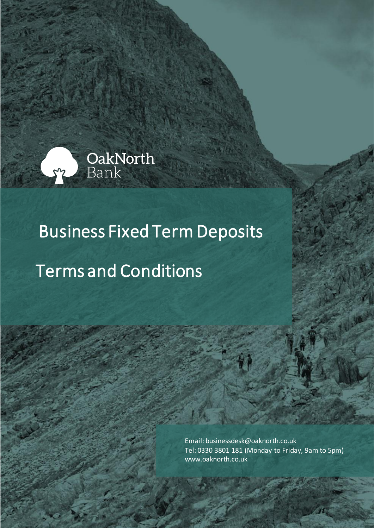

# Business Fixed Term Deposits

# Terms and Conditions

Email: businessdesk@oaknorth.co.uk Tel: 0330 3801 181 (Monday to Friday, 9am to 5pm) [www.oaknorth.co.uk](file:///C:/Users/sanjay.khurana/AppData/Local/Microsoft/Windows/INetCache/Content.Outlook/I0MHLQZ1/www.oaknorth.co.uk)

OakNorth Bank - Business Fixed Term Deposits – Terms and Conditions Page **1**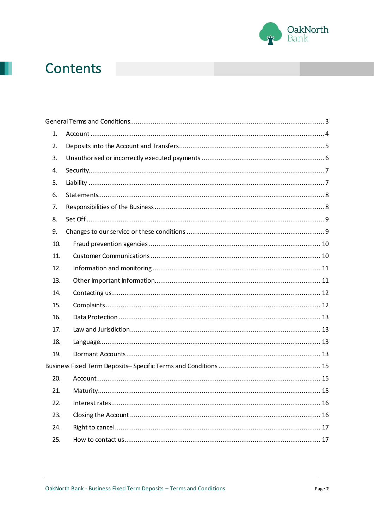

## Contents

| 1.  |  |
|-----|--|
| 2.  |  |
| 3.  |  |
| 4.  |  |
| 5.  |  |
| 6.  |  |
| 7.  |  |
| 8.  |  |
| 9.  |  |
| 10. |  |
| 11. |  |
| 12. |  |
| 13. |  |
| 14. |  |
| 15. |  |
| 16. |  |
| 17. |  |
| 18. |  |
| 19. |  |
|     |  |
| 20. |  |
| 21. |  |
| 22. |  |
| 23. |  |
| 24. |  |
| 25. |  |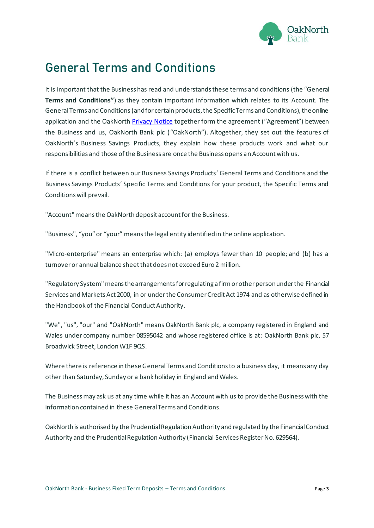

### <span id="page-2-0"></span>**General Terms and Conditions**

It is important that the Business has read and understands these terms and conditions (the "General **Terms and Conditions"**) as they contain important information which relates to its Account. The General Terms and Conditions (and for certain products, the Specific Terms and Conditions), the online application and the OakNorth [Privacy Notice](https://www.oaknorth.co.uk/privacy-notice/privacy-notice-deposit-products/) together form the agreement ("Agreement") between the Business and us, OakNorth Bank plc ("OakNorth"). Altogether, they set out the features of OakNorth's Business Savings Products, they explain how these products work and what our responsibilities and those of the Business are once the Business opens an Account with us.

If there is a conflict between our Business Savings Products' General Terms and Conditions and the Business Savings Products' Specific Terms and Conditions for your product, the Specific Terms and Conditions will prevail.

"Account"means the OakNorth deposit account for the Business.

"Business", "you" or "your" means the legal entity identified in the online application.

"Micro-enterprise" means an enterprise which: (a) employs fewer than 10 people; and (b) has a turnover or annual balance sheet that does not exceed Euro 2 million.

"Regulatory System" means the arrangements for regulating a firm or other person under the Financial Services and Markets Act 2000, in or under the Consumer Credit Act 1974 and as otherwise defined in the Handbook of the Financial Conduct Authority.

"We", "us", "our" and "OakNorth" means OakNorth Bank plc, a company registered in England and Wales under company number 08595042 and whose registered office is at: OakNorth Bank plc, 57 Broadwick Street, London W1F 9QS.

Where there is reference in these General Terms and Conditions to a business day, it means any day other than Saturday, Sunday or a bank holiday in England and Wales.

The Business may ask us at any time while it has an Account with us to provide the Business with the information contained in these General Terms and Conditions.

OakNorth is authorised by the Prudential Regulation Authority and regulated by the Financial Conduct Authority and the Prudential Regulation Authority (Financial Services Register No. 629564).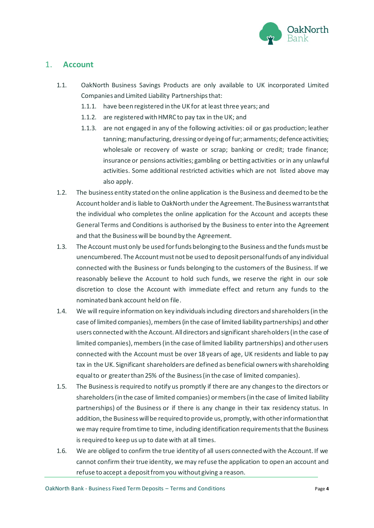

#### <span id="page-3-0"></span>1. **Account**

- 1.1. OakNorth Business Savings Products are only available to UK incorporated Limited Companies and Limited Liability Partnerships that:
	- 1.1.1. have been registered in the UK for at least three years; and
	- 1.1.2. are registered with HMRC to pay tax in the UK; and
	- 1.1.3. are not engaged in any of the following activities: oil or gas production; leather tanning; manufacturing, dressing or dyeing of fur; armaments; defence activities; wholesale or recovery of waste or scrap; banking or credit; trade finance; insurance or pensions activities; gambling or betting activities or in any unlawful activities. Some additional restricted activities which are not listed above may also apply.
- 1.2. The business entity stated on the online application is the Business and deemed to be the Account holder and is liable to OakNorth under the Agreement. The Business warrants that the individual who completes the online application for the Account and accepts these General Terms and Conditions is authorised by the Business to enter into the Agreement and that the Business will be bound by the Agreement.
- 1.3. The Account must only be used for funds belonging to the Business and the funds must be unencumbered. The Account must not be used to deposit personal funds of any individual connected with the Business or funds belonging to the customers of the Business. If we reasonably believe the Account to hold such funds, we reserve the right in our sole discretion to close the Account with immediate effect and return any funds to the nominated bank account held on file.
- 1.4. We will require information on key individuals including directors and shareholders (in the case of limited companies), members (in the case of limited liability partnerships) and other users connected with the Account. All directors and significant shareholders (in the case of limited companies), members (in the case of limited liability partnerships) and other users connected with the Account must be over 18 years of age, UK residents and liable to pay tax in the UK. Significant shareholders are defined as beneficial owners with shareholding equal to or greater than 25% of the Business (in the case of limited companies).
- 1.5. The Business is required to notify us promptly if there are any changes to the directors or shareholders (in the case of limited companies) or members (in the case of limited liability partnerships) of the Business or if there is any change in their tax residency status. In addition, the Business will be required to provide us, promptly, with other information that we may require from time to time, including identification requirements that the Business is required to keep us up to date with at all times.
- 1.6. We are obliged to confirm the true identity of all users connected with the Account. If we cannot confirm their true identity, we may refuse the application to open an account and refuse to accept a deposit from you without giving a reason.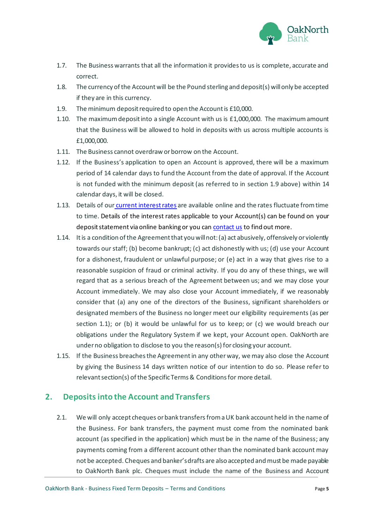

- 1.7. The Business warrants that all the information it provides to us is complete, accurate and correct.
- 1.8. The currency of the Account will be the Pound sterling and deposit(s) will only be accepted if they are in this currency.
- 1.9. The minimum deposit required to open the Account is £10,000.
- 1.10. The maximum deposit into a single Account with us is £1,000,000. The maximum amount that the Business will be allowed to hold in deposits with us across multiple accounts is £1,000,000.
- 1.11. The Business cannot overdraw or borrow on the Account.
- 1.12. If the Business's application to open an Account is approved, there will be a maximum period of 14 calendar days to fund the Account from the date of approval. If the Account is not funded with the minimum deposit (as referred to in section 1.9 above) within 14 calendar days, it will be closed.
- 1.13. Details of our [current interest rates](https://www.oaknorth.co.uk/business-savings/) are available online and the rates fluctuate from time to time. Details of the interest rates applicable to your Account(s) can be found on your deposit statement via online banking or you ca[n contact us](https://www.oaknorth.co.uk/resources/get-in-touch/) to find out more.
- 1.14. It is a condition of the Agreement that you will not: (a) act abusively, offensively or violently towards our staff; (b) become bankrupt; (c) act dishonestly with us; (d) use your Account for a dishonest, fraudulent or unlawful purpose; or (e) act in a way that gives rise to a reasonable suspicion of fraud or criminal activity. If you do any of these things, we will regard that as a serious breach of the Agreement between us; and we may close your Account immediately. We may also close your Account immediately, if we reasonably consider that (a) any one of the directors of the Business, significant shareholders or designated members of the Business no longer meet our eligibility requirements (as per section 1.1); or (b) it would be unlawful for us to keep; or (c) we would breach our obligations under the Regulatory System if we kept, your Account open. OakNorth are under no obligation to disclose to you the reason(s) for closing your account.
- 1.15. If the Business breachesthe Agreementin any otherway, we may also close the Account by giving the Business 14 days written notice of our intention to do so. Please refer to relevant section(s) of the Specific Terms & Conditions for more detail.

#### <span id="page-4-0"></span>**2. Depositsinto the Account and Transfers**

2.1. We will only accept cheques or bank transfersfrom a UK bank account held in the name of the Business. For bank transfers, the payment must come from the nominated bank account (as specified in the application) which must be in the name of the Business; any payments coming from a different account other than the nominated bank account may not be accepted. Cheques and banker's drafts are also accepted and must be made payable to OakNorth Bank plc. Cheques must include the name of the Business and Account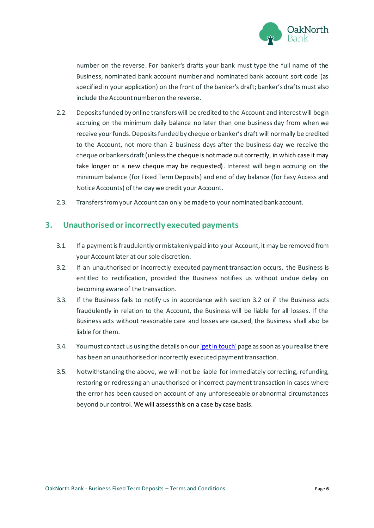

number on the reverse. For banker's drafts your bank must type the full name of the Business, nominated bank account number and nominated bank account sort code (as specified in your application) on the front of the banker's draft; banker's drafts must also include the Account number on the reverse.

- 2.2. Deposits funded by online transfers will be credited to the Account and interest will begin accruing on the minimum daily balance no later than one business day from when we receive your funds. Deposits funded by cheque or banker's draft will normally be credited to the Account, not more than 2 business days after the business day we receive the cheque or bankers draft(unless the cheque is not made out correctly, in which case it may take longer or a new cheque may be requested). Interest will begin accruing on the minimum balance (for Fixed Term Deposits) and end of day balance (for Easy Access and Notice Accounts) of the day we credit your Account.
- 2.3. Transfers from your Account can only be made to your nominated bank account.

#### <span id="page-5-0"></span>**3. Unauthorised or incorrectly executed payments**

- 3.1. If a payment is fraudulently or mistakenly paid into your Account, it may be removed from your Account later at our sole discretion.
- 3.2. If an unauthorised or incorrectly executed payment transaction occurs, the Business is entitled to rectification, provided the Business notifies us without undue delay on becoming aware of the transaction.
- 3.3. If the Business fails to notify us in accordance with section 3.2 or if the Business acts fraudulently in relation to the Account, the Business will be liable for all losses. If the Business acts without reasonable care and losses are caused, the Business shall also be liable for them.
- 3.4. You must contact us using the details on ou[r 'get in touch'](https://www.oaknorth.co.uk/resources/get-in-touch/)page as soon as you realise there has been an unauthorised or incorrectly executed payment transaction.
- 3.5. Notwithstanding the above, we will not be liable for immediately correcting, refunding, restoring or redressing an unauthorised or incorrect payment transaction in cases where the error has been caused on account of any unforeseeable or abnormal circumstances beyond our control. We will assess this on a case by case basis.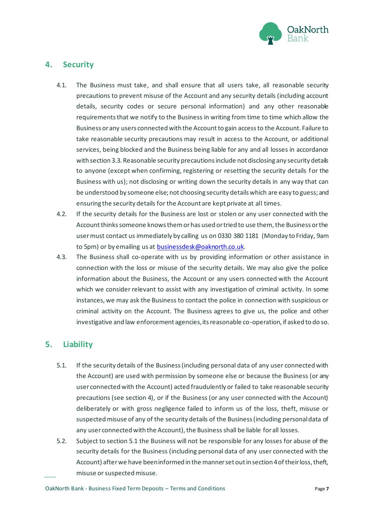

#### <span id="page-6-0"></span>**4. Security**

- 4.1. The Business must take, and shall ensure that all users take, all reasonable security precautions to prevent misuse of the Account and any security details (including account details, security codes or secure personal information) and any other reasonable requirements that we notify to the Business in writing from time to time which allow the Business or any users connected with the Account to gain access to the Account. Failure to take reasonable security precautions may result in access to the Account, or additional services, being blocked and the Business being liable for any and all losses in accordance with section 3.3. Reasonable security precautions include not disclosing any security details to anyone (except when confirming, registering or resetting the security details for the Business with us); not disclosing or writing down the security details in any way that can be understood by someone else; not choosing security details which are easy to guess; and ensuring the security details for the Account are kept private at all times.
- 4.2. If the security details for the Business are lost or stolen or any user connected with the Account thinks someone knows them or has used or tried to use them, the Business or the user must contact us immediately by calling us on 0330 380 1181 (Monday to Friday, 9am to 5pm) or by emailing us a[t businessdesk@oaknorth.co.uk](file:///C:/Users/stella.demades/AppData/Local/Microsoft/Windows/INetCache/Content.Outlook/BID6RVBX/businessdesk@oaknorth.co.uk).
- 4.3. The Business shall co-operate with us by providing information or other assistance in connection with the loss or misuse of the security details. We may also give the police information about the Business, the Account or any users connected with the Account which we consider relevant to assist with any investigation of criminal activity. In some instances, we may ask the Business to contact the police in connection with suspicious or criminal activity on the Account. The Business agrees to give us, the police and other investigative and law enforcement agencies, its reasonable co-operation, if asked to do so.

#### <span id="page-6-1"></span>**5. Liability**

- 5.1. If the security details of the Business (including personal data of any user connected with the Account) are used with permission by someone else or because the Business (or any user connected with the Account) acted fraudulently or failed to take reasonable security precautions (see section 4), or if the Business (or any user connected with the Account) deliberately or with gross negligence failed to inform us of the loss, theft, misuse or suspected misuse of any of the security details of the Business (including personal data of any user connected with the Account), the Business shall be liable for all losses.
- 5.2. Subject to section 5.1 the Business will not be responsible for any losses for abuse of the security details for the Business (including personal data of any user connected with the Account) after we have been informed in the manner set out in section 4 of their loss, theft, misuse or suspected misuse.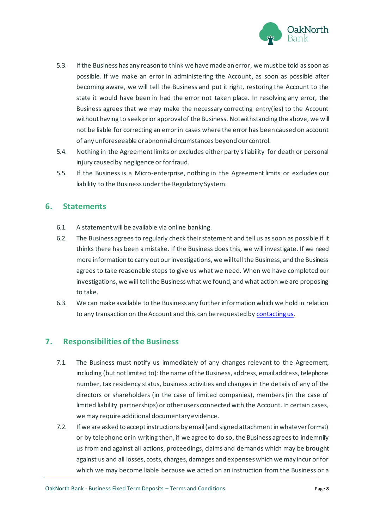

- 5.3. If the Business has any reason to think we have made an error, we must be told as soon as possible. If we make an error in administering the Account, as soon as possible after becoming aware, we will tell the Business and put it right, restoring the Account to the state it would have been in had the error not taken place. In resolving any error, the Business agrees that we may make the necessary correcting entry(ies) to the Account without having to seek prior approval of the Business. Notwithstanding the above, we will not be liable for correcting an error in cases where the error has been caused on account of any unforeseeable or abnormal circumstances beyond our control.
- 5.4. Nothing in the Agreement limits or excludes either party's liability for death or personal injury caused by negligence or for fraud.
- 5.5. If the Business is a Micro-enterprise, nothing in the Agreement limits or excludes our liability to the Business under the Regulatory System.

#### <span id="page-7-0"></span>**6. Statements**

- 6.1. A statement will be available via online banking.
- 6.2. The Business agrees to regularly check their statement and tell us as soon as possible if it thinks there has been a mistake. If the Business does this, we will investigate. If we need more information to carry out our investigations, we will tell the Business, and the Business agrees to take reasonable steps to give us what we need. When we have completed our investigations, we will tell the Business what we found, and what action we are proposing to take.
- 6.3. We can make available to the Business any further information which we hold in relation to any transaction on the Account and this can be requested b[y contacting us.](https://www.oaknorth.co.uk/resources/get-in-touch/)

#### <span id="page-7-1"></span>**7. Responsibilities of the Business**

- 7.1. The Business must notify us immediately of any changes relevant to the Agreement, including (but not limited to): the name of the Business, address, email address, telephone number, tax residency status, business activities and changes in the details of any of the directors or shareholders (in the case of limited companies), members (in the case of limited liability partnerships) or other users connected with the Account. In certain cases, we may require additional documentary evidence.
- 7.2. If we are asked to accept instructions by email (and signed attachment in whatever format) or by telephone or in writing then, if we agree to do so, the Business agrees to indemnify us from and against all actions, proceedings, claims and demands which may be brought against us and all losses, costs, charges, damages and expenses which we may incur or for which we may become liable because we acted on an instruction from the Business or a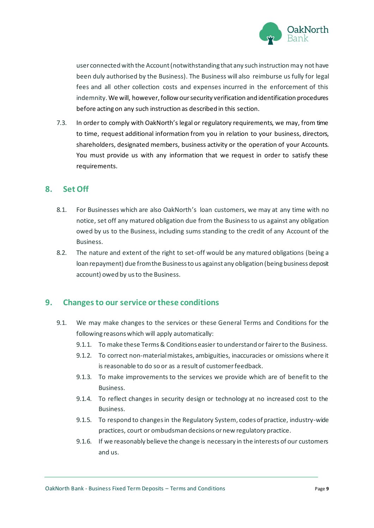

user connected with the Account (notwithstanding that any such instruction may not have been duly authorised by the Business). The Business will also reimburse us fully for legal fees and all other collection costs and expenses incurred in the enforcement of this indemnity. We will, however, follow our security verification and identification procedures before acting on any such instruction as described in this section.

7.3. In order to comply with OakNorth's legal or regulatory requirements, we may, from time to time, request additional information from you in relation to your business, directors, shareholders, designated members, business activity or the operation of your Accounts. You must provide us with any information that we request in order to satisfy these requirements.

#### <span id="page-8-0"></span>**8. Set Off**

- 8.1. For Businesses which are also OakNorth's loan customers, we may at any time with no notice, set off any matured obligation due from the Business to us against any obligation owed by us to the Business, including sums standing to the credit of any Account of the Business.
- 8.2. The nature and extent of the right to set-off would be any matured obligations (being a loan repayment) due from the Business to us against any obligation (being business deposit account) owed by us to the Business.

#### <span id="page-8-1"></span>**9. Changes to our service or these conditions**

- 9.1. We may make changes to the services or these General Terms and Conditions for the following reasons which will apply automatically:
	- 9.1.1. To make these Terms & Conditions easier to understand or fairer to the Business.
	- 9.1.2. To correct non-material mistakes, ambiguities, inaccuracies or omissions where it is reasonable to do so or as a result of customer feedback.
	- 9.1.3. To make improvements to the services we provide which are of benefit to the Business.
	- 9.1.4. To reflect changes in security design or technology at no increased cost to the Business.
	- 9.1.5. To respond to changes in the Regulatory System, codes of practice, industry-wide practices, court or ombudsman decisions or new regulatory practice.
	- 9.1.6. If we reasonably believe the change is necessary in the interests of our customers and us.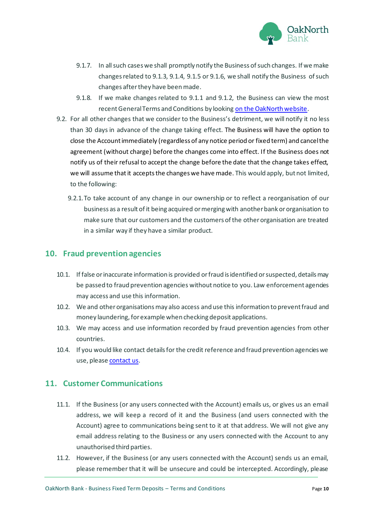

- 9.1.7. In all such cases we shall promptly notify the Business of such changes. If we make changes related to 9.1.3, 9.1.4, 9.1.5 or 9.1.6, we shall notify the Business of such changes after they have been made.
- 9.1.8. If we make changes related to 9.1.1 and 9.1.2, the Business can view the most recent General Terms and Conditions by looking on th[e OakNorth website.](https://www.oaknorth.co.uk/terms-and-conditions)
- 9.2. For all other changes that we consider to the Business's detriment, we will notify it no less than 30 days in advance of the change taking effect. The Business will have the option to close the Account immediately (regardless of any notice period or fixed term) and cancel the agreement (without charge) before the changes come into effect. If the Business does not notify us of their refusal to accept the change before the date that the change takes effect, we will assume that it accepts the changes we have made. This would apply, but not limited, to the following:
	- 9.2.1.To take account of any change in our ownership or to reflect a reorganisation of our business as a result of it being acquired or merging with another bank or organisation to make sure that our customers and the customers of the other organisation are treated in a similar way if they have a similar product.

#### <span id="page-9-0"></span>**10. Fraud prevention agencies**

- 10.1. If false or inaccurate information is provided orfraud is identified or suspected, details may be passed to fraud prevention agencies without notice to you. Law enforcement agencies may access and use this information.
- 10.2. We and other organisations may also access and use this information to prevent fraud and money laundering, for example when checking deposit applications.
- 10.3. We may access and use information recorded by fraud prevention agencies from other countries.
- 10.4. If you would like contact details for the credit reference and fraud prevention agencies we use, please [contact us.](https://www.oaknorth.co.uk/resources/get-in-touch/)

#### <span id="page-9-1"></span>**11. Customer Communications**

- 11.1. If the Business (or any users connected with the Account) emails us, or gives us an email address, we will keep a record of it and the Business (and users connected with the Account) agree to communications being sent to it at that address. We will not give any email address relating to the Business or any users connected with the Account to any unauthorised third parties.
- 11.2. However, if the Business (or any users connected with the Account) sends us an email, please remember that it will be unsecure and could be intercepted. Accordingly, please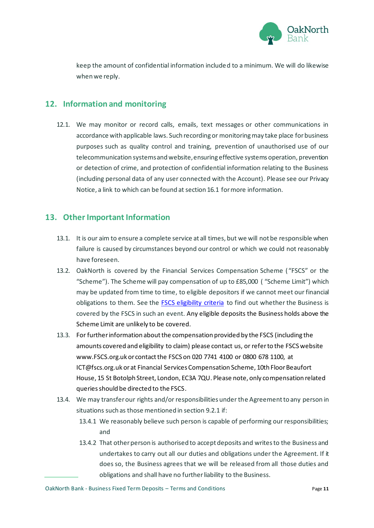

keep the amount of confidential information included to a minimum. We will do likewise when we reply.

#### <span id="page-10-0"></span>**12. Information and monitoring**

12.1. We may monitor or record calls, emails, text messages or other communications in accordance with applicable laws. Such recording or monitoring may take place for business purposes such as quality control and training, prevention of unauthorised use of our telecommunication systems and website, ensuring effective systems operation, prevention or detection of crime, and protection of confidential information relating to the Business (including personal data of any user connected with the Account). Please see our Privacy Notice, a link to which can be found at section 16.1 for more information.

#### <span id="page-10-1"></span>**13. Other Important Information**

- 13.1. It is our aim to ensure a complete service at all times, but we will not be responsible when failure is caused by circumstances beyond our control or which we could not reasonably have foreseen.
- 13.2. OakNorth is covered by the Financial Services Compensation Scheme ( "FSCS" or the "Scheme"). The Scheme will pay compensation of up to £85,000 ( "Scheme Limit") which may be updated from time to time, to eligible depositors if we cannot meet our financial obligations to them. See the **FSCS eligibility criteria** to find out whether the Business is covered by the FSCS in such an event. Any eligible deposits the Business holds above the Scheme Limit are unlikely to be covered.
- 13.3. For further information about the compensation provided by the FSCS (including the amounts covered and eligibility to claim) please contact us, or refer to the FSCS website www.FSCS.org.uk or contact the FSCS on 020 7741 4100 or 0800 678 1100, at ICT@fscs.org.uk or at Financial Services Compensation Scheme, 10th Floor Beaufort House, 15 St Botolph Street, London, EC3A 7QU. Please note, only compensation related queries should be directed to the FSCS.
- 13.4. We may transfer our rights and/or responsibilities under the Agreement to any person in situations such as those mentioned in section 9.2.1 if:
	- 13.4.1 We reasonably believe such person is capable of performing our responsibilities; and
	- 13.4.2 That other person is authorised to accept deposits and writes to the Business and undertakes to carry out all our duties and obligations under the Agreement. If it does so, the Business agrees that we will be released from all those duties and obligations and shall have no further liability to the Business.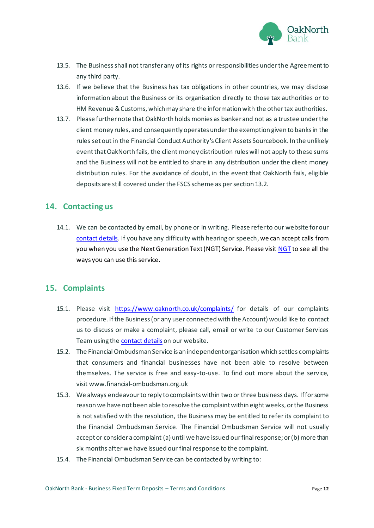

- 13.5. The Business shall not transfer any of its rights or responsibilities under the Agreement to any third party.
- 13.6. If we believe that the Business has tax obligations in other countries, we may disclose information about the Business or its organisation directly to those tax authorities or to HM Revenue & Customs, which may share the information with the other tax authorities.
- 13.7. Please further note that OakNorth holds monies as banker and not as a trustee under the client money rules, and consequently operates under the exemption given to banks in the rules set out in the Financial Conduct Authority's Client Assets Sourcebook. In the unlikely event that OakNorth fails, the client money distribution rules will not apply to these sums and the Business will not be entitled to share in any distribution under the client money distribution rules. For the avoidance of doubt, in the event that OakNorth fails, eligible deposits are still covered under the FSCS scheme as per section 13.2.

#### <span id="page-11-0"></span>**14. Contacting us**

14.1. We can be contacted by email, by phone or in writing. Please refer to our website for our [contact details.](https://www.oaknorth.co.uk/resources/get-in-touch/) If you have any difficulty with hearing or speech, we can accept calls from you when you use the Next Generation Text (NGT) Service. Please visi[t NGT](http://ngts.org.uk/) to see all the ways you can use this service.

#### <span id="page-11-1"></span>**15. Complaints**

- 15.1. Please visit [https://www.oaknorth.co.uk/complaints/](https://www.oaknorth.co.uk/complaints) for details of our complaints procedure. If the Business (or any user connected with the Account) would like to contact us to discuss or make a complaint, please call, email or write to our Customer Services Team using th[e contact details](https://www.oaknorth.co.uk/resources/get-in-touch/) on our website.
- 15.2. The Financial Ombudsman Service is an independent organisation which settles complaints that consumers and financial businesses have not been able to resolve between themselves. The service is free and easy-to-use. To find out more about the service, visit [www.financial-ombudsman.org.uk](http://www.financial-ombudsman.org.uk/)
- 15.3. We always endeavour to reply to complaints within two or three business days. If for some reason we have not been able to resolve the complaint within eight weeks, or the Business is not satisfied with the resolution, the Business may be entitled to refer its complaint to the Financial Ombudsman Service. The Financial Ombudsman Service will not usually accept or consider a complaint (a) until we have issued our final response; or (b) more than six months after we have issued our final response to the complaint.
- 15.4. The Financial Ombudsman Service can be contacted by writing to: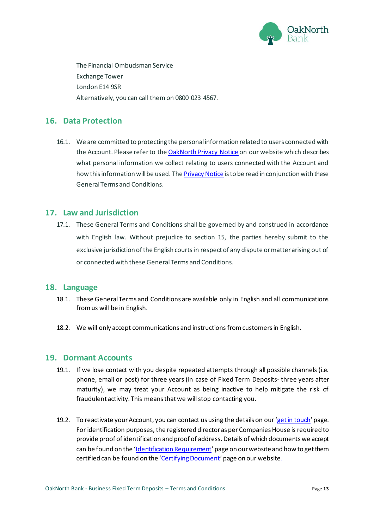

The Financial Ombudsman Service Exchange Tower London E14 9SR Alternatively, you can call themon 0800 023 4567.

#### <span id="page-12-0"></span>**16. Data Protection**

16.1. We are committed to protecting the personal information related to users connected with the Account. Please refer to the [OakNorth Privacy Notice](https://www.oaknorth.co.uk/privacy-notice/privacy-notice-deposit-products/) on our website which describes what personal information we collect relating to users connected with the Account and how this information will be used. Th[e Privacy Notice](https://www.oaknorth.co.uk/privacy-notice/privacy-notice-deposit-products/) is to be read in conjunction with these General Terms and Conditions.

#### <span id="page-12-1"></span>**17. Law and Jurisdiction**

17.1. These General Terms and Conditions shall be governed by and construed in accordance with English law. Without prejudice to section 15, the parties hereby submit to the exclusive jurisdiction of the English courts in respect of any dispute or matter arising out of or connected with these General Terms and Conditions.

#### <span id="page-12-2"></span>**18. Language**

- 18.1. These General Terms and Conditions are available only in English and all communications from us will be in English.
- 18.2. We will only accept communications and instructions from customers in English.

#### <span id="page-12-3"></span>**19. Dormant Accounts**

- 19.1. If we lose contact with you despite repeated attempts through all possible channels (i.e. phone, email or post) for three years (in case of Fixed Term Deposits- three years after maturity), we may treat your Account as being inactive to help mitigate the risk of fraudulent activity. This means that we will stop contacting you.
- 19.2. To reactivate your Account, you can contact us using the details on our '[get in touch](https://www.oaknorth.co.uk/resources/get-in-touch/)' page. For identification purposes, the registered director as per Companies House is required to provide proof of identification and proof of address.Details of which documents we accept can be found on the '[Identification Requirement](https://www.oaknorth.co.uk/identification-requirements/)' page on our website and how to get them certified can be found on the '[Certifying Document](https://www.oaknorth.co.uk/certifying-documents/)' page on our websit[e.](https://www.oaknorth.co.uk/certifying-documents/)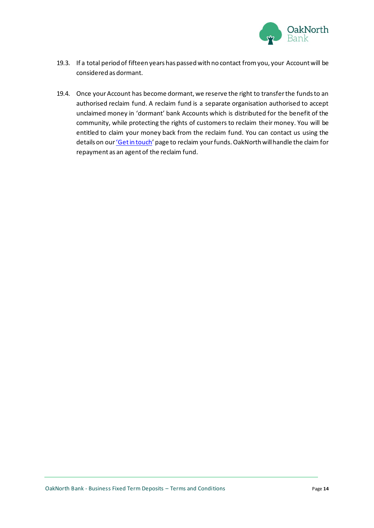

- 19.3. If a total period of fifteen years has passed with no contact from you, your Account will be considered as dormant.
- 19.4. Once your Account has become dormant, we reserve the right to transfer the funds to an authorised reclaim fund. A reclaim fund is a separate organisation authorised to accept unclaimed money in 'dormant' bank Accounts which is distributed for the benefit of the community, while protecting the rights of customers to reclaim their money. You will be entitled to claim your money back from the reclaim fund. You can contact us using the details on our ['Get in touch'](https://www.oaknorth.co.uk/resources/get-in-touch/) page to reclaim your funds. OakNorth will handle the claim for repayment as an agent of the reclaim fund.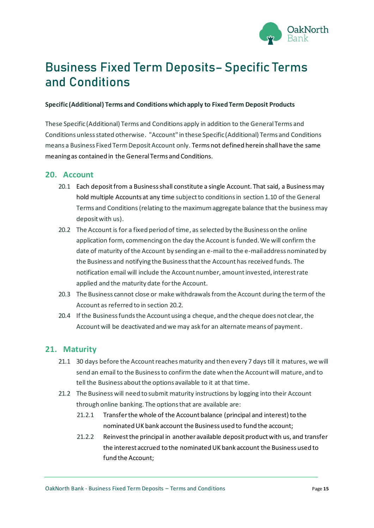

## <span id="page-14-0"></span>**Business Fixed Term Deposits– Specific Terms and Conditions**

#### **Specific (Additional) Terms and Conditions which apply to Fixed Term Deposit Products**

These Specific (Additional) Terms and Conditions apply in addition to the General Terms and Conditions unless stated otherwise. "Account" in these Specific (Additional) Terms and Conditions means a Business Fixed Term Deposit Account only. Terms not defined herein shall have the same meaning as contained in the General Terms and Conditions.

#### <span id="page-14-1"></span>**20. Account**

- 20.1 Each deposit from a Business shall constitute a single Account. That said, a Business may hold multiple Accounts at any time subject to conditions in section 1.10 of the General Terms and Conditions(relating to the maximum aggregate balance that the businessmay deposit with us).
- 20.2 The Account is for a fixed period of time, as selected by the Business on the online application form, commencing on the day the Account is funded. We will confirm the date of maturity of the Account by sending an e-mail to the e-mail address nominated by the Business and notifying the Business that the Account has received funds. The notification email will include the Account number, amount invested, interest rate applied and the maturity date for the Account.
- 20.3 The Business cannot close or make withdrawals from the Account during the term of the Account as referred to in section 20.2.
- 20.4 If the Business funds the Account using a cheque, and the cheque does not clear, the Account will be deactivated and we may ask for an alternate means of payment.

#### <span id="page-14-2"></span>**21. Maturity**

- 21.1 30 days before the Account reaches maturity and then every 7 days till it matures, we will send an email to the Business to confirm the date when the Account will mature, and to tell the Business about the options available to it at that time.
- 21.2 The Business will need to submit maturity instructions by logging into their Account through online banking. The options that are available are:
	- 21.2.1 Transfer the whole of the Account balance (principal and interest) to the nominated UK bank account the Business used to fund the account;
	- 21.2.2 Reinvest the principal in another available deposit product with us, and transfer the interest accrued to the nominated UK bank account the Business used to fund the Account;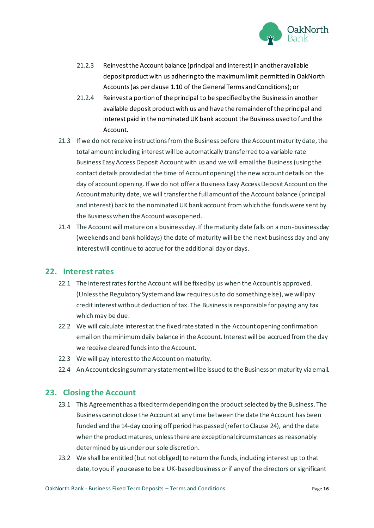

- 21.2.3 Reinvest the Account balance (principal and interest) in another available deposit product with us adhering to the maximum limit permitted in OakNorth Accounts (as per clause 1.10 of the General Terms and Conditions); or
- 21.2.4 Reinvest a portion of the principal to be specified by the Business in another available deposit product with us and have the remainder of the principal and interest paid in the nominated UK bank account the Business used to fund the Account.
- 21.3 If we do not receive instructions from the Business before the Account maturity date, the total amount including interest will be automatically transferred to a variable rate Business Easy Access Deposit Account with us and we will email the Business(using the contact details provided at the time of Account opening) the new account details on the day of account opening. If we do not offer a Business Easy Access Deposit Account on the Account maturity date, we will transfer the full amount of the Account balance (principal and interest) back to the nominated UK bank account from which the funds were sent by the Business when the Account was opened.
- 21.4 The Account will mature on a business day. If the maturity date falls on a non-business day (weekends and bank holidays) the date of maturity will be the next business day and any interest will continue to accrue for the additional day or days.

#### <span id="page-15-0"></span>**22. Interest rates**

- 22.1 The interest rates for the Account will be fixed by us when the Account is approved. (Unlessthe Regulatory System and law requires us to do something else), we will pay credit interest without deduction of tax. The Business is responsible for paying any tax which may be due.
- 22.2 We will calculate interest at the fixed rate stated in the Account opening confirmation email on the minimum daily balance in the Account. Interest will be accrued from the day we receive cleared funds into the Account.
- 22.3 We will pay interest to the Account on maturity.
- 22.4 An Account closing summary statementwill be issued to the Business on maturity via email.

#### <span id="page-15-1"></span>**23. Closing the Account**

- 23.1 This Agreement has a fixed term depending on the product selected by the Business. The Business cannot close the Account at any time between the date the Account has been funded and the 14-day cooling off period has passed (refer to Clause 24), and the date when the product matures, unless there are exceptional circumstances as reasonably determined by us under our sole discretion.
- 23.2 We shall be entitled (but not obliged) to return the funds, including interest up to that date, to you if you cease to be a UK-based business or if any of the directors or significant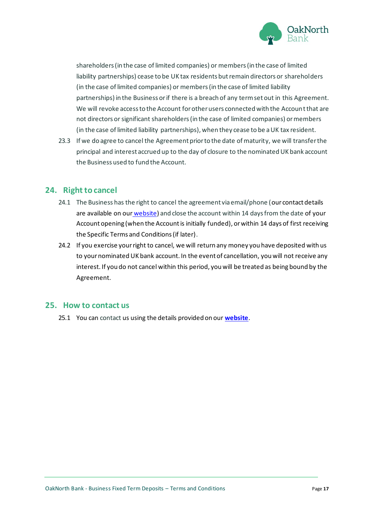

shareholders (in the case of limited companies) or members (in the case of limited liability partnerships) cease to be UK tax residents but remain directors or shareholders (in the case of limited companies) or members (in the case of limited liability partnerships) in the Business or if there is a breach of any term set out in this Agreement. We will revoke access to the Account for other users connected with the Account that are not directors or significant shareholders (in the case of limited companies) or members (in the case of limited liability partnerships), when they cease to be a UK tax resident.

23.3 If we do agree to cancel the Agreement prior to the date of maturity, we will transfer the principal and interest accrued up to the day of closure to the nominated UK bank account the Business used to fund the Account.

#### <span id="page-16-0"></span>**24. Right to cancel**

- 24.1 The Business has the right to cancel the agreement via email/phone (our contact details are available [on](https://www.oaknorth.co.uk/resources/get-in-touch/) our [website](https://www.oaknorth.co.uk/resources/get-in-touch/)) and close the account within 14 days from the date of your Account opening (when the Account is initially funded), or within 14 days of first receiving the Specific Terms and Conditions (if later).
- 24.2 If you exercise your right to cancel, we will return any money you have deposited with us to your nominated UK bank account. In the event of cancellation, you will not receive any interest. If you do not cancel within this period, you will be treated as being bound by the Agreement.

#### <span id="page-16-1"></span>**25. How to contact us**

25.1 You can contact us using the details provided on our **[website](https://www.oaknorth.co.uk/resources/get-in-touch/)**.